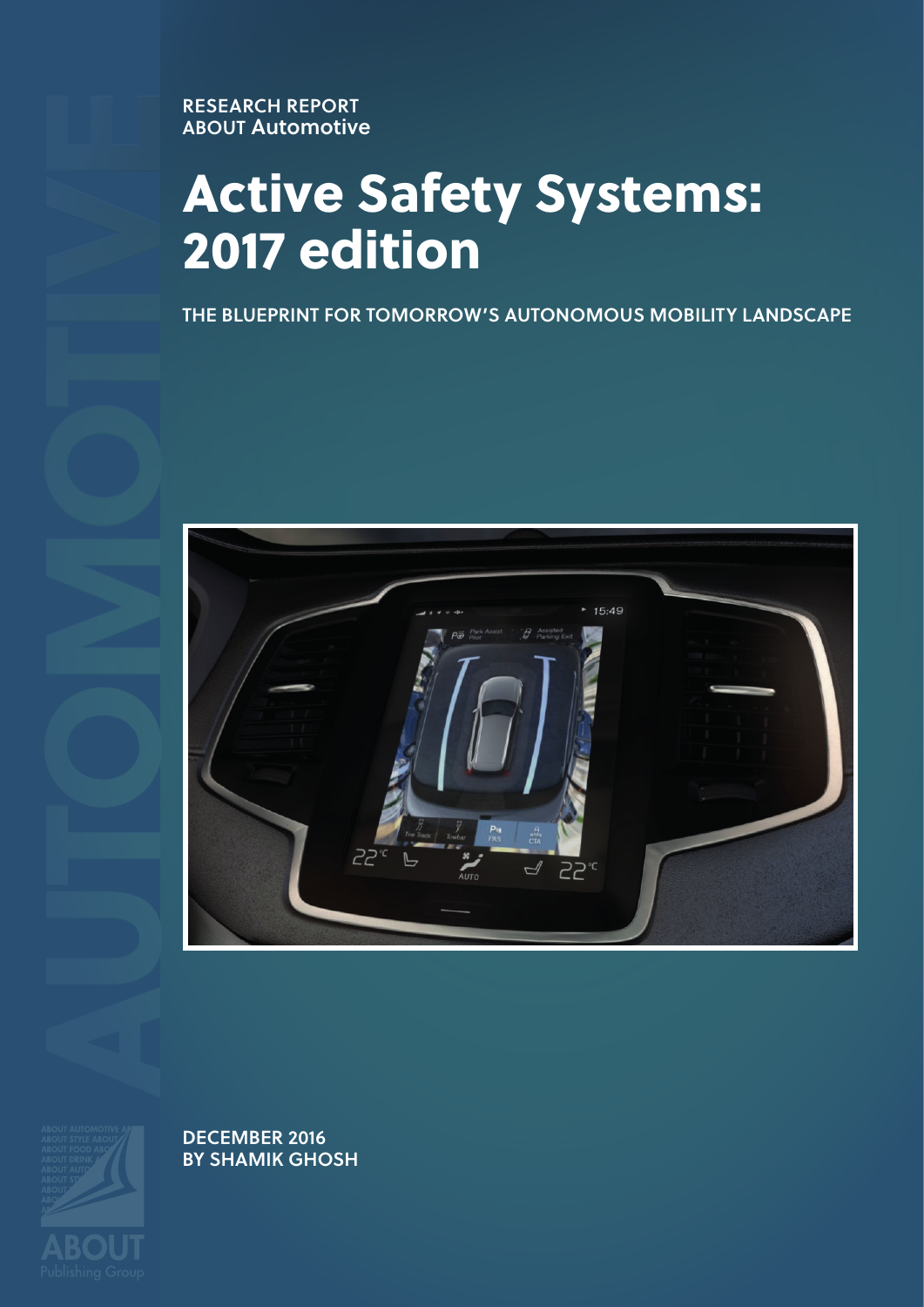**ERESEARCH REPORT ABOUT Automotive**

## **Active Safety Systems: 2017 edition**

**THE BLUEPRINT FOR TOMORROW'S AUTONOMOUS MOBILITY LANDSCAPE**



**DECEMBER 2016 BY SHAMIK GHOSH**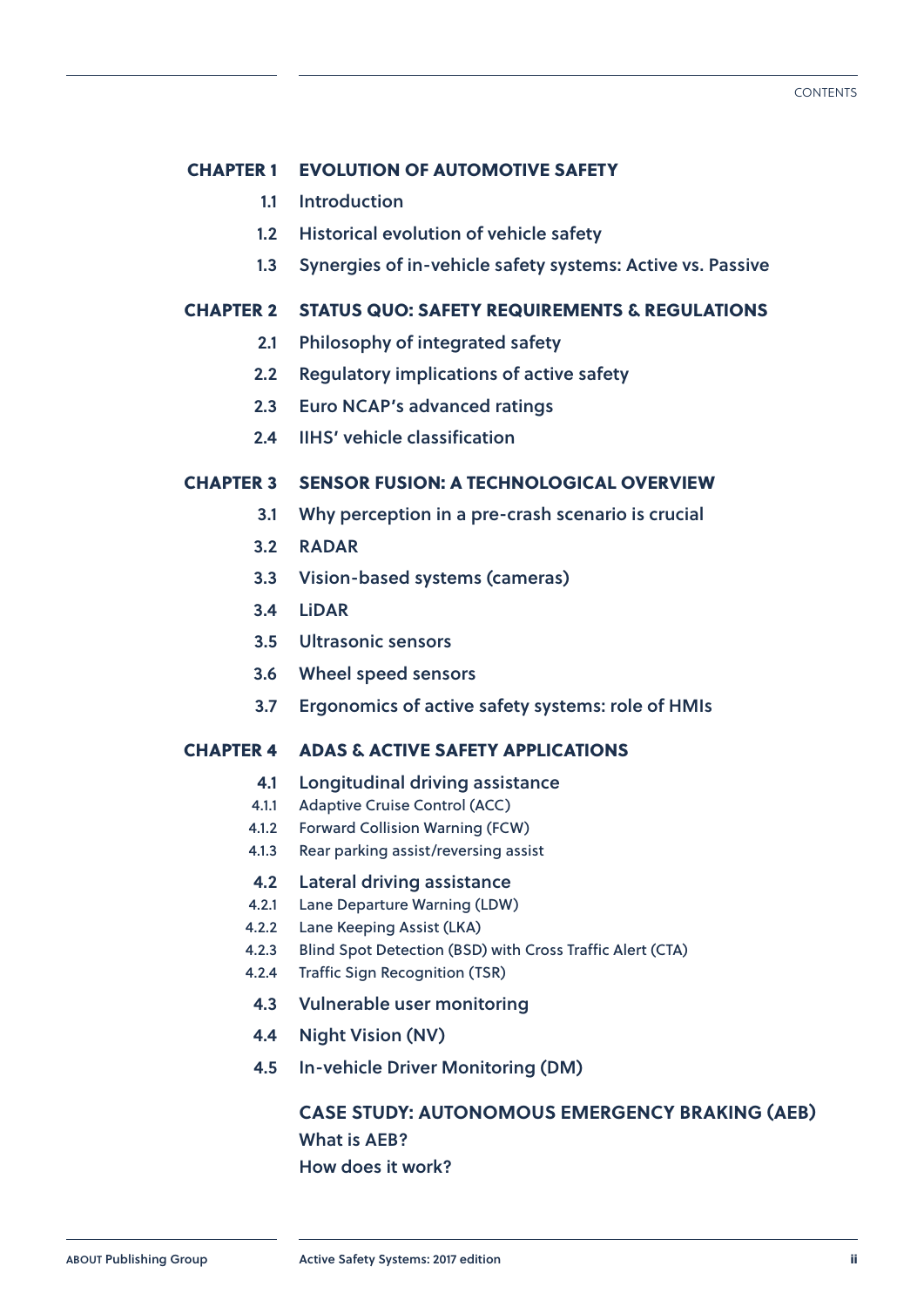#### **Chapter 1 [EVOLUTION OF AUTOMOTIVE SAFETY](#page--1-0)**

- **1.1 [Introduction](#page--1-0)**
- **1.2 [Historical evolution of vehicle safety](#page--1-0)**
- **1.3 [Synergies of in-vehicle safety systems: Active vs. Passive](#page--1-0)**

#### **Chapter 2 [STATUS QUO: SAFETY REQUIREMENTS & REGULATIONS](#page-5-0)**

- **2.1 [Philosophy of integrated safety](#page-5-0)**
- **2.2 [Regulatory implications of active safety](#page--1-0)**
- **2.3 [Euro NCAP's advanced ratings](#page--1-0)**
- **2.4 [IIHS' vehicle classification](#page--1-0)**

#### **Chapter 3 [SENSOR FUSION: A TECHNOLOGICAL OVERVIEW](#page-6-0)**

- **3.1 [Why perception in a pre-crash scenario is crucial](#page-6-0)**
- **3.2 [RADAR](#page--1-0)**
- **3.3 [Vision-based systems \(cameras\)](#page--1-0)**
- **3.4 [LiDAR](#page--1-0)**
- **3.5 [Ultrasonic sensors](#page--1-0)**
- **3.6 [Wheel speed sensors](#page--1-0)**
- **3.7 [Ergonomics of active safety systems: role of HMIs](#page--1-0)**

#### **Chapter 4 [ADAS & ACTIVE SAFETY APPLICATIONS](#page--1-0)**

- **4.1 [Longitudinal driving assistance](#page--1-0)**
- 4.1.1 [Adaptive Cruise Control \(ACC\)](#page--1-0)
- 4.1.2 [Forward Collision Warning \(FCW\)](#page--1-0)
- 4.1.3 [Rear parking assist/reversing assist](#page--1-0)

#### **4.2 [Lateral driving assistance](#page--1-0)**

- 4.2.1 [Lane Departure Warning \(LDW\)](#page--1-0)
- 4.2.2 [Lane Keeping Assist \(LKA\)](#page--1-0)
- 4.2.3 [Blind Spot Detection \(BSD\) with Cross Traffic Alert \(CTA\)](#page--1-0)
- 4.2.4 [Traffic Sign Recognition \(TSR\)](#page--1-0)
	- **4.3 [Vulnerable user monitoring](#page--1-0)**
- **4.4 [Night Vision \(NV\)](#page--1-0)**
- **4.5 [In-vehicle Driver Monitoring \(DM\)](#page--1-0)**

### **[CASE STUDY:](#page-7-0) [AUTONOMOUS EMERGENCY BRAKING \(AEB\)](#page-7-0) [What is AEB?](#page-7-0)**

**[How does it work?](#page-7-0)**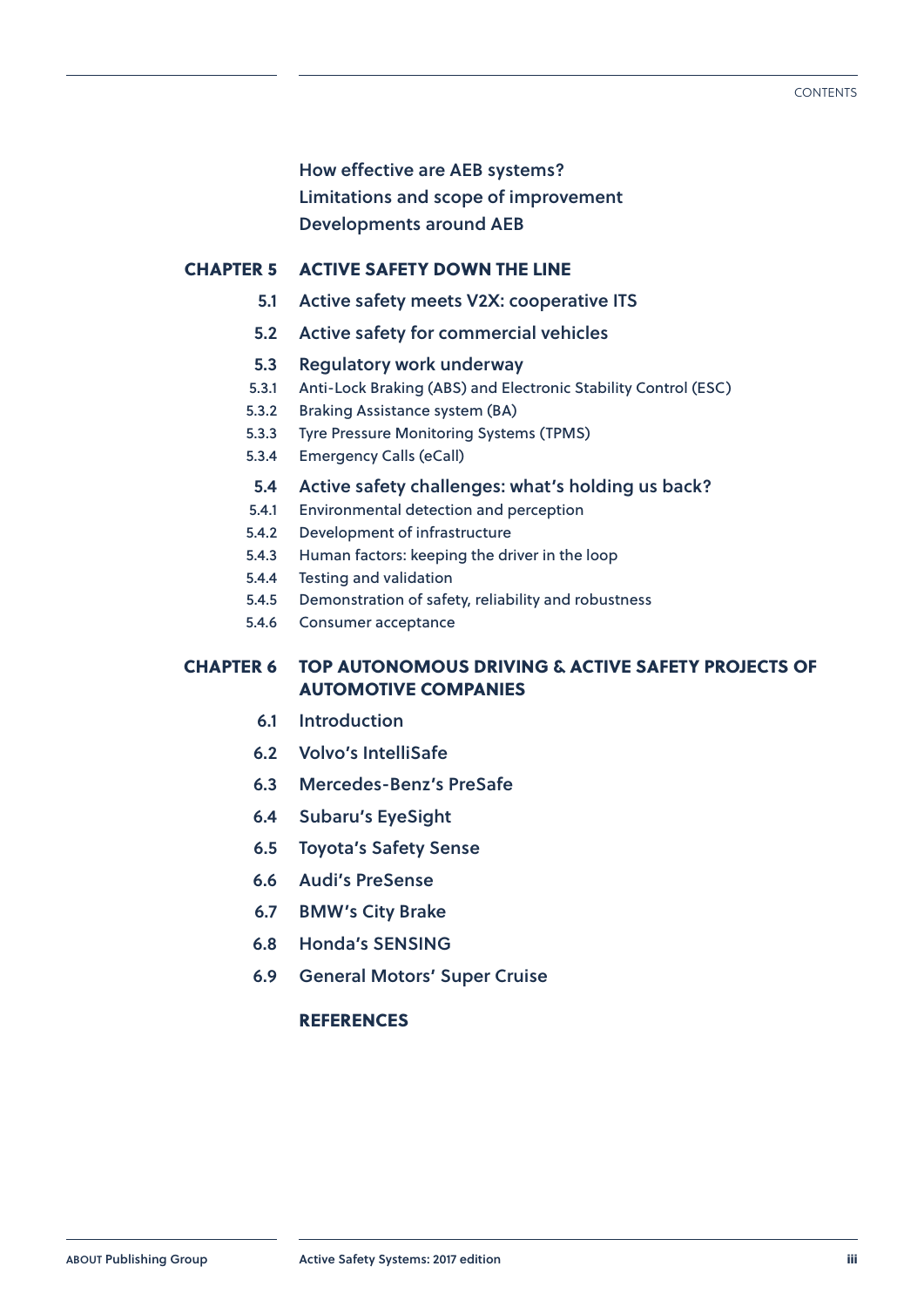**[How effective are AEB systems?](#page--1-0)**

**[Limitations and scope of improvement](#page--1-0)**

**[Developments around AEB](#page--1-0)**

#### **Chapter 5 [ACTIVE SAFETY DOWN THE LINE](#page--1-0)**

- **5.1 [Active safety meets V2X: cooperative ITS](#page--1-0)**
- **5.2 [Active safety for commercial vehicles](#page--1-0)**
- **5.3 [Regulatory work underway](#page--1-0)**
- 5.3.1 [Anti-Lock Braking \(ABS\) and Electronic Stability Control \(ESC\)](#page--1-0)
- 5.3.2 [Braking Assistance system \(BA\)](#page--1-0)
- 5.3.3 [Tyre Pressure Monitoring Systems \(TPMS\)](#page--1-0)
- 5.3.4 [Emergency Calls \(eCall\)](#page--1-0)
- **5.4 [Active safety challenges: what's holding us back?](#page--1-0)**
- 5.4.1 [Environmental detection and perception](#page--1-0)
- 5.4.2 [Development of infrastructure](#page--1-0)
- 5.4.3 [Human factors: keeping the driver in the loop](#page--1-0)
- 5.4.4 [Testing and validation](#page--1-0)
- 5.4.5 [Demonstration of safety, reliability and robustness](#page--1-0)
- 5.4.6 [Consumer acceptance](#page--1-0)

#### **Chapter 6 [TOP AUTONOMOUS DRIVING & ACTIVE SAFETY PROJECTS OF](#page--1-0)  [AUTOMOTIVE COMPANIES](#page--1-0)**

- **6.1 [Introduction](#page--1-0)**
- **6.2 [Volvo's IntelliSafe](#page--1-0)**
- **6.3 [Mercedes-Benz's PreSafe](#page--1-0)**
- **6.4 [Subaru's EyeSight](#page--1-0)**
- **6.5 [Toyota's Safety Sense](#page--1-0)**
- **6.6 [Audi's PreSense](#page--1-0)**
- **6.7 [BMW's City Brake](#page--1-0)**
- **6.8 [Honda's SENSING](#page--1-0)**
- **6.9 [General Motors' Super Cruise](#page--1-0)**

#### **[REFERENCES](#page--1-0)**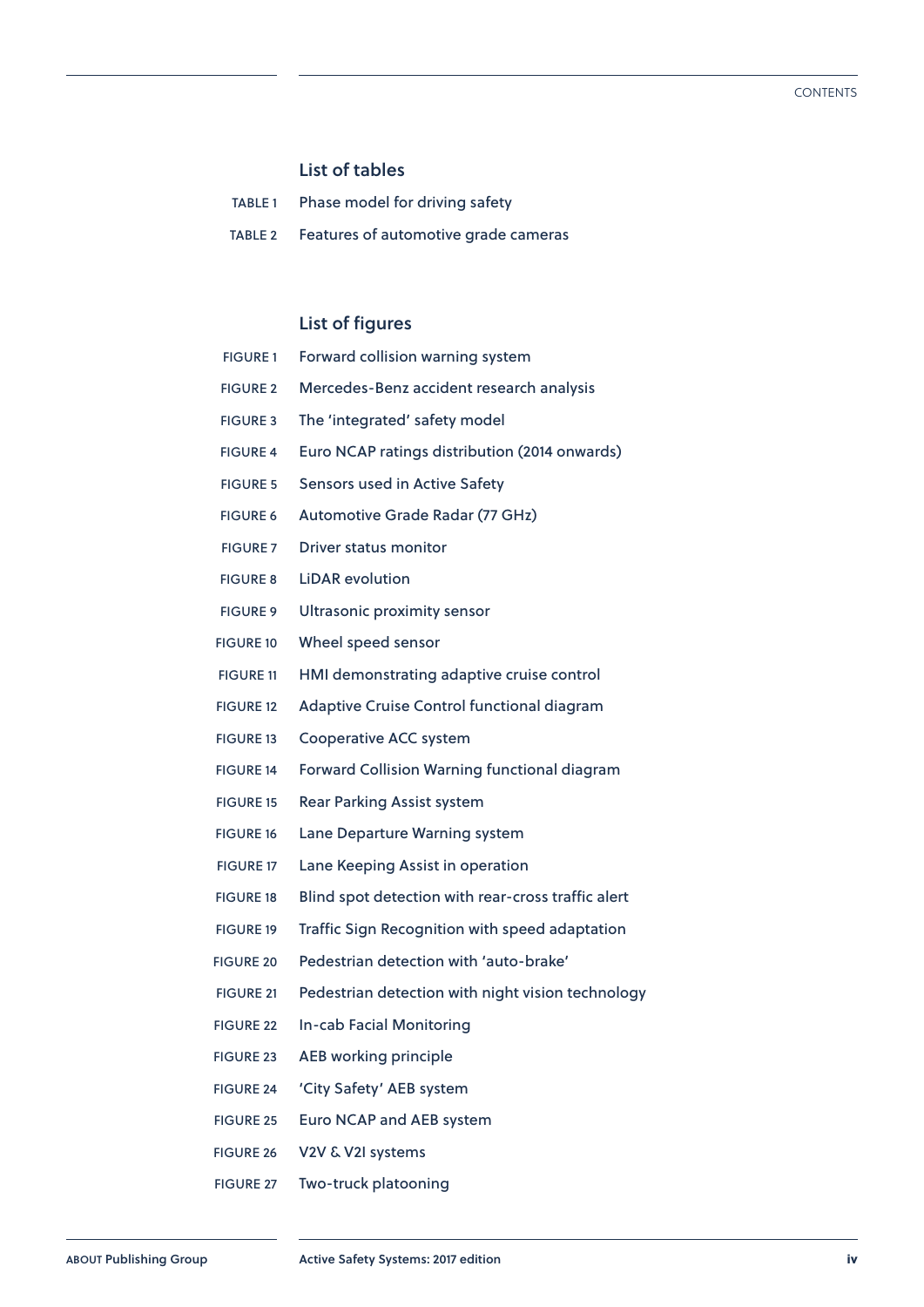#### **List of tables**

| TABLE 1 |  |  |  | Phase model for driving safety |  |
|---------|--|--|--|--------------------------------|--|
|---------|--|--|--|--------------------------------|--|

TABLE 2 [Features of automotive grade cameras](#page--1-0)

#### **List of figures**

| <b>FIGURE 1</b>  | Forward collision warning system                   |
|------------------|----------------------------------------------------|
| <b>FIGURE 2</b>  | Mercedes-Benz accident research analysis           |
| <b>FIGURE 3</b>  | The 'integrated' safety model                      |
| <b>FIGURE 4</b>  | Euro NCAP ratings distribution (2014 onwards)      |
| <b>FIGURE 5</b>  | Sensors used in Active Safety                      |
| <b>FIGURE 6</b>  | Automotive Grade Radar (77 GHz)                    |
| <b>FIGURE 7</b>  | Driver status monitor                              |
| <b>FIGURE 8</b>  | <b>LiDAR</b> evolution                             |
| <b>FIGURE 9</b>  | <b>Ultrasonic proximity sensor</b>                 |
| <b>FIGURE 10</b> | Wheel speed sensor                                 |
| <b>FIGURE 11</b> | HMI demonstrating adaptive cruise control          |
| <b>FIGURE 12</b> | Adaptive Cruise Control functional diagram         |
| <b>FIGURE 13</b> | <b>Cooperative ACC system</b>                      |
| <b>FIGURE 14</b> | Forward Collision Warning functional diagram       |
| <b>FIGURE 15</b> | <b>Rear Parking Assist system</b>                  |
| <b>FIGURE 16</b> | Lane Departure Warning system                      |
| <b>FIGURE 17</b> | Lane Keeping Assist in operation                   |
| <b>FIGURE 18</b> | Blind spot detection with rear-cross traffic alert |
| <b>FIGURE 19</b> | Traffic Sign Recognition with speed adaptation     |
| <b>FIGURE 20</b> | Pedestrian detection with 'auto-brake'             |
| <b>FIGURE 21</b> | Pedestrian detection with night vision technology  |
| <b>FIGURE 22</b> | In-cab Facial Monitoring                           |
| <b>FIGURE 23</b> | <b>AEB working principle</b>                       |
| <b>FIGURE 24</b> | 'City Safety' AEB system                           |
| <b>FIGURE 25</b> | Euro NCAP and AEB system                           |
| <b>FIGURE 26</b> | V2V & V2I systems                                  |

FIGURE 27 [Two-truck platooning](#page--1-0)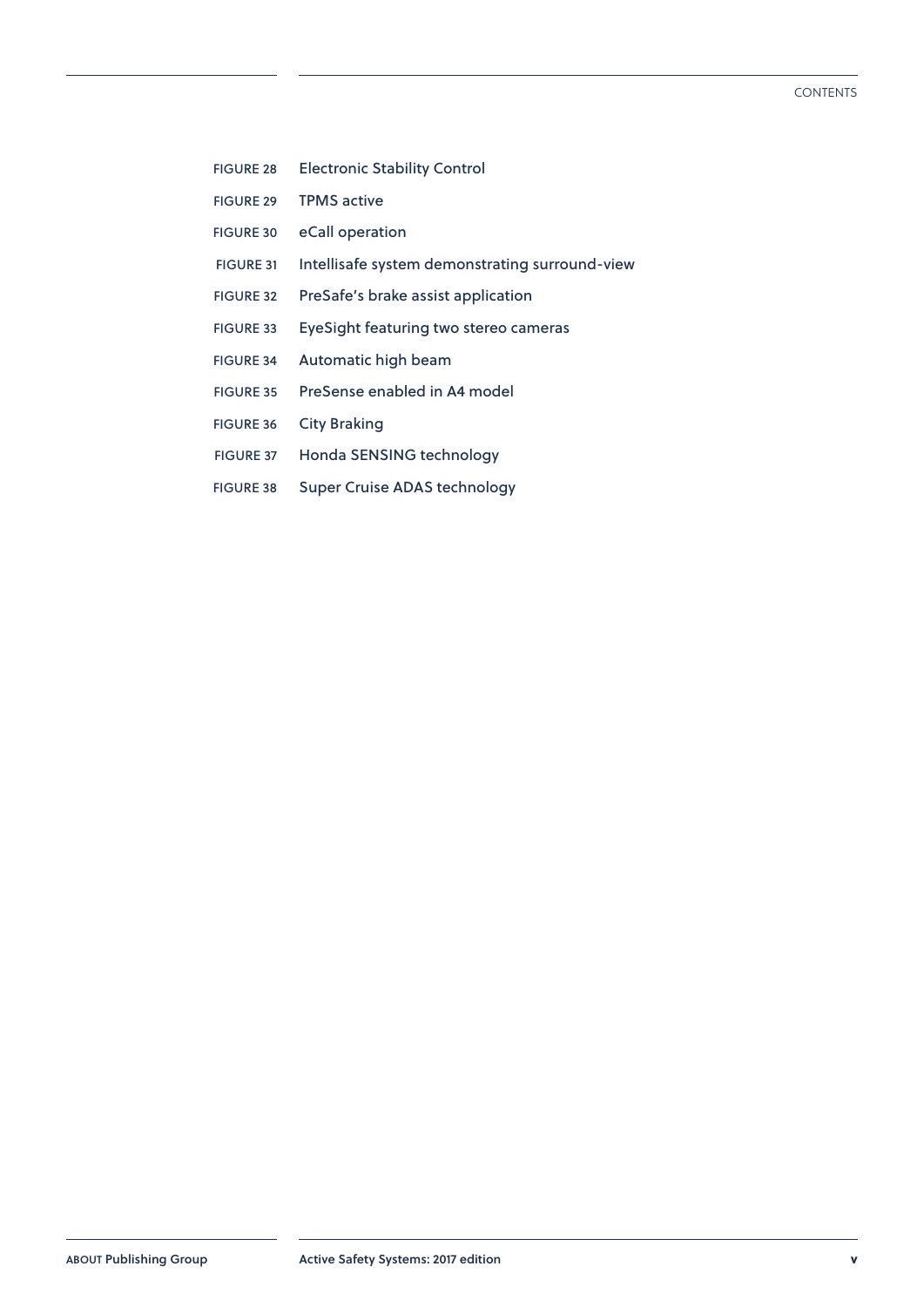- FIGURE 28 [Electronic Stability Control](#page--1-0)
- FIGURE 29 [TPMS active](#page--1-0)
- FIGURE 30 [eCall operation](#page--1-0)
- FIGURE 31 [Intellisafe system demonstrating surround-view](#page--1-0)
- FIGURE 32 [PreSafe's brake assist application](#page--1-0)
- FIGURE 33 [EyeSight featuring two stereo cameras](#page--1-0)
- FIGURE 34 [Automatic high beam](#page--1-0)
- FIGURE 35 [PreSense enabled in A4 model](#page--1-0)
- FIGURE 36 [City Braking](#page--1-0)
- FIGURE 37 [Honda SENSING technology](#page--1-0)
- FIGURE 38 [Super Cruise ADAS technology](#page--1-0)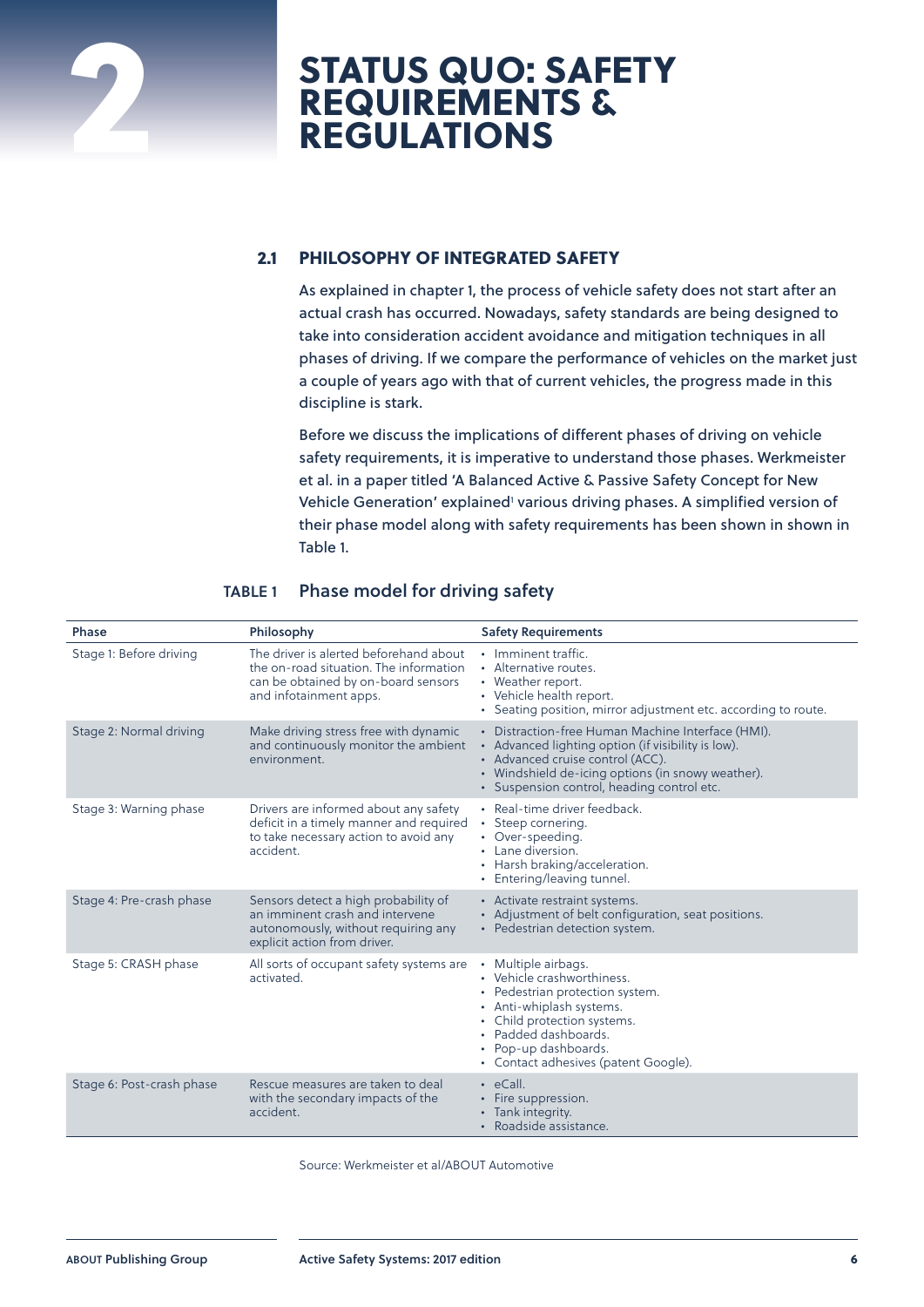# <span id="page-5-0"></span>**STATUS QUO: SAFETY REQUIREMENTS & 22 PEGULATIONS**

#### **2.1 PHILOSOPHY OF INTEGRATED SAFETY**

As explained in chapter 1, the process of vehicle safety does not start after an actual crash has occurred. Nowadays, safety standards are being designed to take into consideration accident avoidance and mitigation techniques in all phases of driving. If we compare the performance of vehicles on the market just a couple of years ago with that of current vehicles, the progress made in this discipline is stark.

Before we discuss the implications of different phases of driving on vehicle safety requirements, it is imperative to understand those phases. Werkmeister et al. in a paper titled 'A Balanced Active & Passive Safety Concept for New Vehicle Generation' explained<sup>1</sup> various driving phases. A simplified version of their phase model along with safety requirements has been shown in shown in Table 1.

| <b>Phase</b>              | Philosophy                                                                                                                                        | <b>Safety Requirements</b>                                                                                                                                                                                                                     |
|---------------------------|---------------------------------------------------------------------------------------------------------------------------------------------------|------------------------------------------------------------------------------------------------------------------------------------------------------------------------------------------------------------------------------------------------|
| Stage 1: Before driving   | The driver is alerted beforehand about<br>the on-road situation. The information<br>can be obtained by on-board sensors<br>and infotainment apps. | • Imminent traffic.<br>• Alternative routes.<br>• Weather report.<br>• Vehicle health report.<br>• Seating position, mirror adjustment etc. according to route.                                                                                |
| Stage 2: Normal driving   | Make driving stress free with dynamic<br>and continuously monitor the ambient<br>environment.                                                     | • Distraction-free Human Machine Interface (HMI).<br>• Advanced lighting option (if visibility is low).<br>• Advanced cruise control (ACC).<br>• Windshield de-icing options (in snowy weather).<br>· Suspension control, heading control etc. |
| Stage 3: Warning phase    | Drivers are informed about any safety<br>deficit in a timely manner and required<br>to take necessary action to avoid any<br>accident.            | • Real-time driver feedback.<br>• Steep cornering.<br>• Over-speeding.<br>• Lane diversion.<br>• Harsh braking/acceleration.<br>• Entering/leaving tunnel.                                                                                     |
| Stage 4: Pre-crash phase  | Sensors detect a high probability of<br>an imminent crash and intervene<br>autonomously, without requiring any<br>explicit action from driver.    | • Activate restraint systems.<br>• Adjustment of belt configuration, seat positions.<br>• Pedestrian detection system.                                                                                                                         |
| Stage 5: CRASH phase      | All sorts of occupant safety systems are<br>activated.                                                                                            | • Multiple airbags.<br>• Vehicle crashworthiness.<br>• Pedestrian protection system.<br>• Anti-whiplash systems.<br>• Child protection systems.<br>• Padded dashboards.<br>• Pop-up dashboards.<br>• Contact adhesives (patent Google).        |
| Stage 6: Post-crash phase | Rescue measures are taken to deal<br>with the secondary impacts of the<br>accident.                                                               | $\cdot$ eCall.<br>• Fire suppression.<br>• Tank integrity.<br>· Roadside assistance.                                                                                                                                                           |

#### **TABLE 1 Phase model for driving safety**

Source: Werkmeister et al/ABOUT Automotive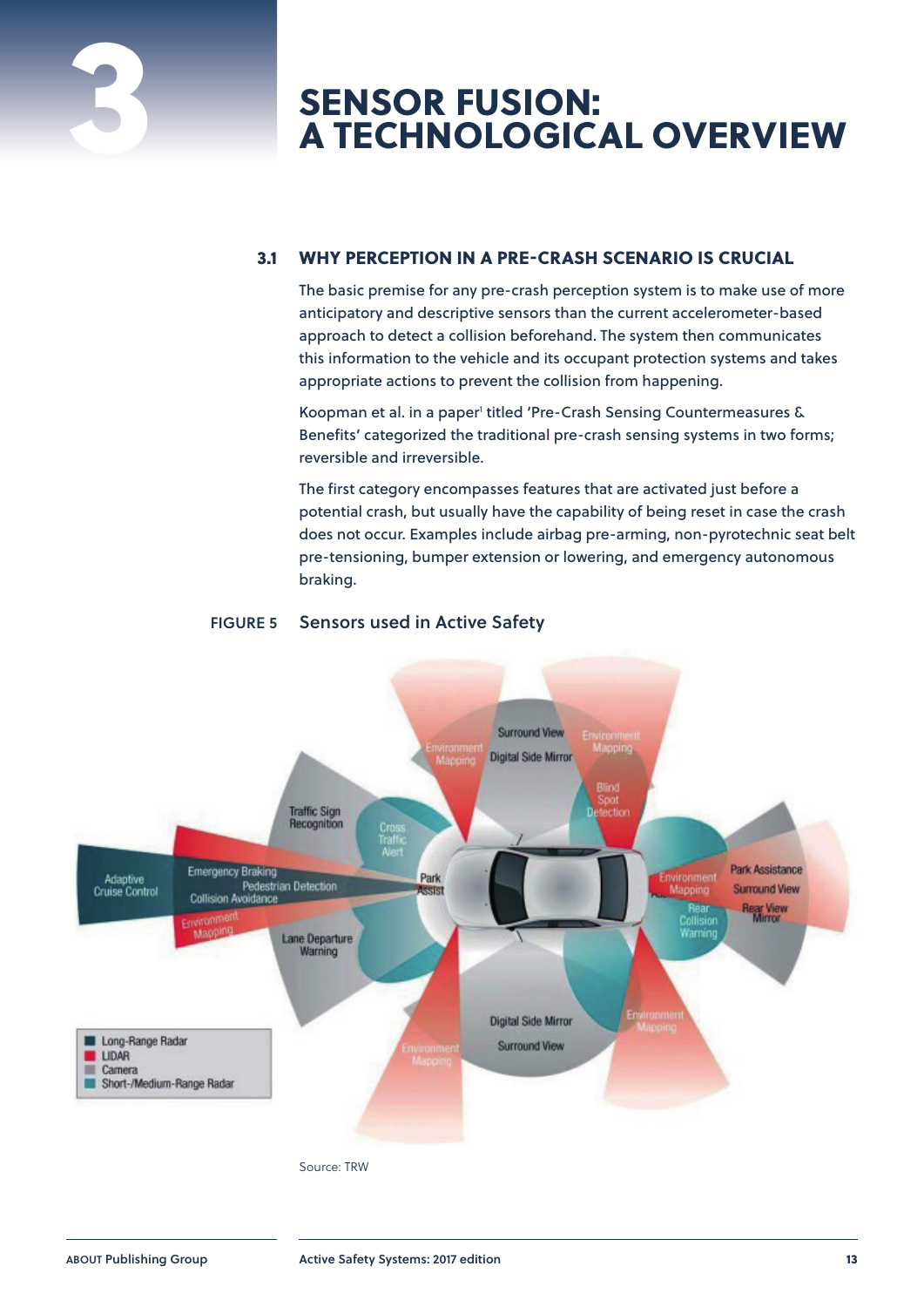# <span id="page-6-0"></span>**SENSOR FUSION: 3 A TECHNOLOGICAL OVERVIEW**

#### **3.1 WHY PERCEPTION IN A PRE-CRASH SCENARIO IS CRUCIAL**

The basic premise for any pre-crash perception system is to make use of more anticipatory and descriptive sensors than the current accelerometer-based approach to detect a collision beforehand. The system then communicates this information to the vehicle and its occupant protection systems and takes appropriate actions to prevent the collision from happening.

Koopman et al. in a paper<sup>1</sup> titled 'Pre-Crash Sensing Countermeasures & Benefits' categorized the traditional pre-crash sensing systems in two forms; reversible and irreversible.

The first category encompasses features that are activated just before a potential crash, but usually have the capability of being reset in case the crash does not occur. Examples include airbag pre-arming, non-pyrotechnic seat belt pre-tensioning, bumper extension or lowering, and emergency autonomous braking.



#### **FIGURE 5 Sensors used in Active Safety**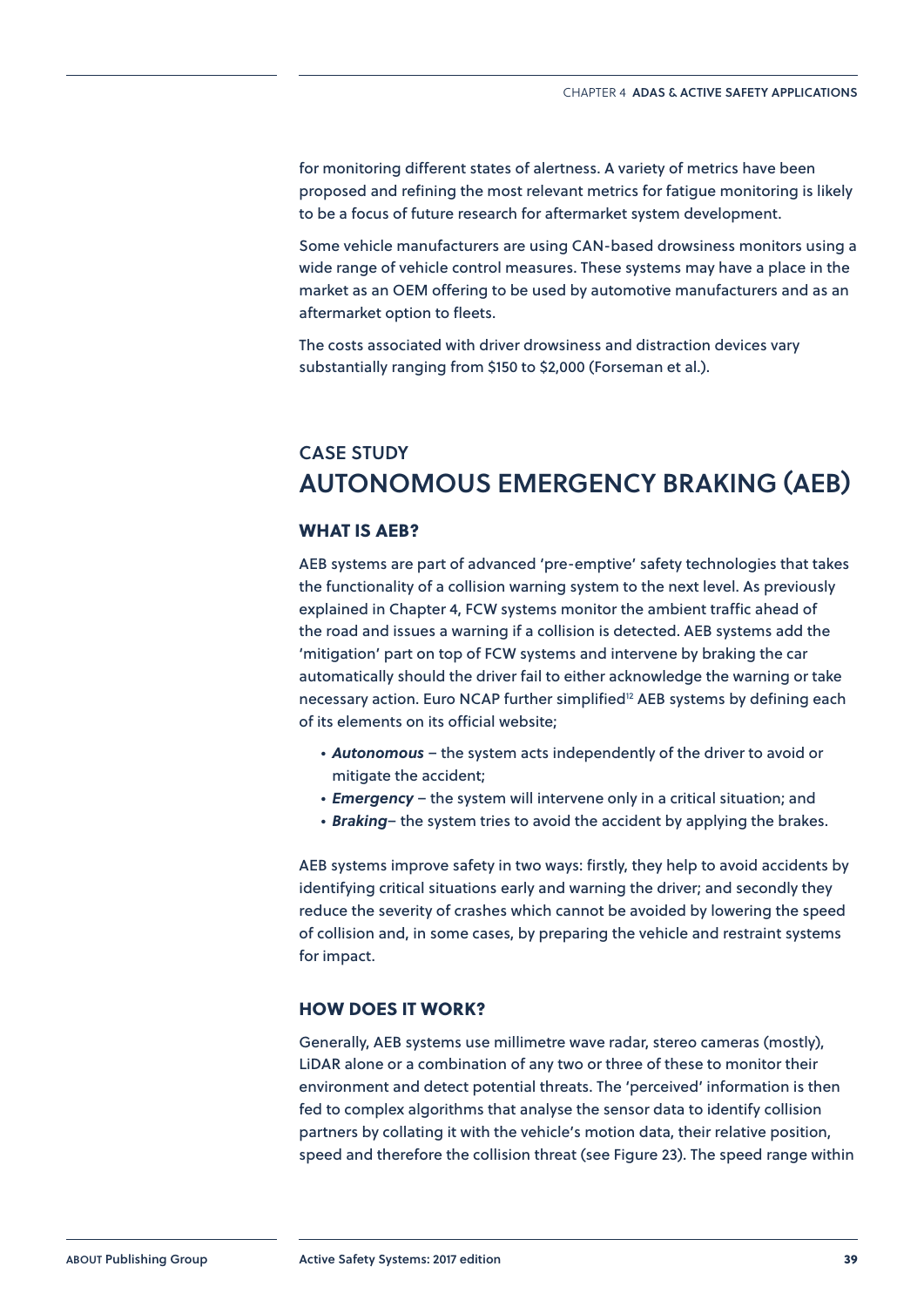<span id="page-7-0"></span>for monitoring different states of alertness. A variety of metrics have been proposed and refining the most relevant metrics for fatigue monitoring is likely to be a focus of future research for aftermarket system development.

Some vehicle manufacturers are using CAN-based drowsiness monitors using a wide range of vehicle control measures. These systems may have a place in the market as an OEM offering to be used by automotive manufacturers and as an aftermarket option to fleets.

The costs associated with driver drowsiness and distraction devices vary substantially ranging from \$150 to \$2,000 (Forseman et al.).

### **CASE STUDY AUTONOMOUS EMERGENCY BRAKING (AEB)**

#### **WHAT IS AEB?**

AEB systems are part of advanced 'pre-emptive' safety technologies that takes the functionality of a collision warning system to the next level. As previously explained in Chapter 4, FCW systems monitor the ambient traffic ahead of the road and issues a warning if a collision is detected. AEB systems add the 'mitigation' part on top of FCW systems and intervene by braking the car automatically should the driver fail to either acknowledge the warning or take necessary action. Euro NCAP further simplified<sup>12</sup> AEB systems by defining each of its elements on its official website;

- *Autonomous* the system acts independently of the driver to avoid or mitigate the accident;
- *Emergency* the system will intervene only in a critical situation; and
- *Braking* the system tries to avoid the accident by applying the brakes.

AEB systems improve safety in two ways: firstly, they help to avoid accidents by identifying critical situations early and warning the driver; and secondly they reduce the severity of crashes which cannot be avoided by lowering the speed of collision and, in some cases, by preparing the vehicle and restraint systems for impact.

#### **HOW DOES IT WORK?**

Generally, AEB systems use millimetre wave radar, stereo cameras (mostly), LiDAR alone or a combination of any two or three of these to monitor their environment and detect potential threats. The 'perceived' information is then fed to complex algorithms that analyse the sensor data to identify collision partners by collating it with the vehicle's motion data, their relative position, speed and therefore the collision threat (see Figure 23). The speed range within